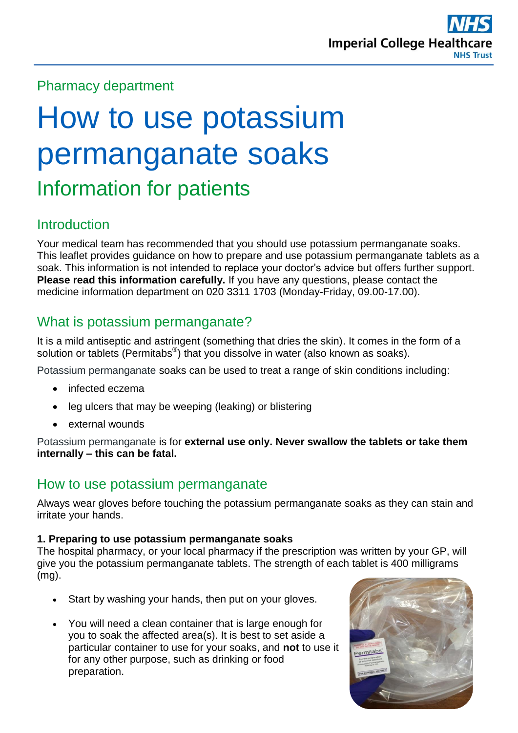## Pharmacy department

# How to use potassium permanganate soaks Information for patients

#### **Introduction**

Your medical team has recommended that you should use potassium permanganate soaks. This leaflet provides guidance on how to prepare and use potassium permanganate tablets as a soak. This information is not intended to replace your doctor's advice but offers further support. **Please read this information carefully.** If you have any questions, please contact the medicine information department on 020 3311 1703 (Monday-Friday, 09.00-17.00).

## What is potassium permanganate?

It is a mild antiseptic and astringent (something that dries the skin). It comes in the form of a solution or tablets (Permitabs®) that you dissolve in water (also known as soaks).

Potassium permanganate soaks can be used to treat a range of skin conditions including:

- infected eczema
- leg ulcers that may be weeping (leaking) or blistering
- external wounds

Potassium permanganate is for **external use only. Never swallow the tablets or take them internally – this can be fatal.**

#### How to use potassium permanganate

Always wear gloves before touching the potassium permanganate soaks as they can stain and irritate your hands.

#### **1. Preparing to use potassium permanganate soaks**

The hospital pharmacy, or your local pharmacy if the prescription was written by your GP, will give you the potassium permanganate tablets. The strength of each tablet is 400 milligrams (mg).

- Start by washing your hands, then put on your gloves.
- You will need a clean container that is large enough for you to soak the affected area(s). It is best to set aside a particular container to use for your soaks, and **not** to use it for any other purpose, such as drinking or food preparation.

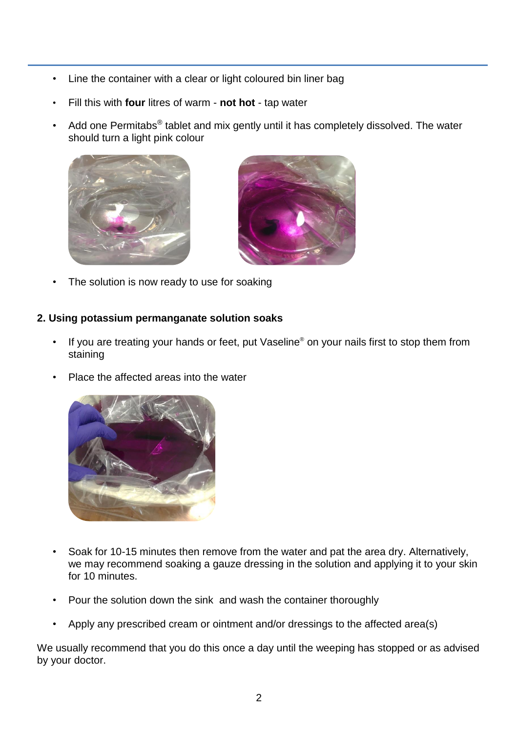- Line the container with a clear or light coloured bin liner bag
- Fill this with **four** litres of warm **not hot** tap water
- Add one Permitabs $^{\circledast}$  tablet and mix gently until it has completely dissolved. The water should turn a light pink colour





The solution is now ready to use for soaking

#### **2. Using potassium permanganate solution soaks**

- If you are treating your hands or feet, put Vaseline® on your nails first to stop them from staining
- Place the affected areas into the water



- Soak for 10-15 minutes then remove from the water and pat the area dry. Alternatively, we may recommend soaking a gauze dressing in the solution and applying it to your skin for 10 minutes.
- Pour the solution down the sink and wash the container thoroughly
- Apply any prescribed cream or ointment and/or dressings to the affected area(s)

We usually recommend that you do this once a day until the weeping has stopped or as advised by your doctor.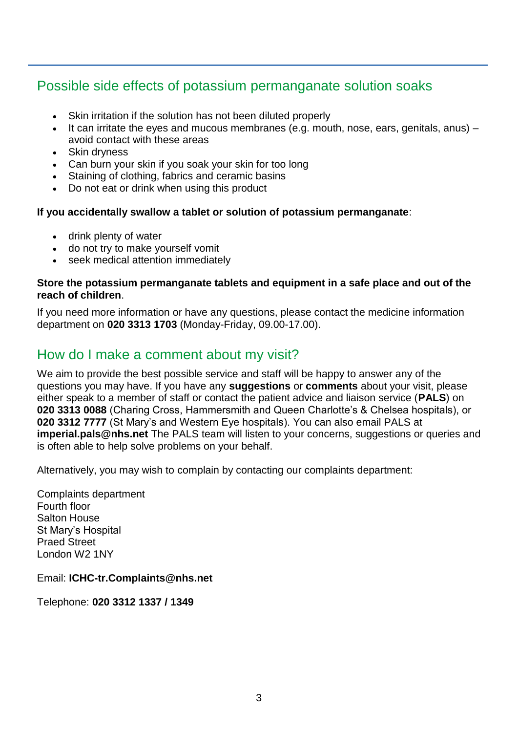## Possible side effects of potassium permanganate solution soaks

- Skin irritation if the solution has not been diluted properly
- It can irritate the eyes and mucous membranes (e.g. mouth, nose, ears, genitals, anus) avoid contact with these areas
- Skin dryness
- Can burn your skin if you soak your skin for too long
- Staining of clothing, fabrics and ceramic basins
- Do not eat or drink when using this product

#### **If you accidentally swallow a tablet or solution of potassium permanganate**:

- drink plenty of water
- do not try to make yourself vomit
- seek medical attention immediately

#### **Store the potassium permanganate tablets and equipment in a safe place and out of the reach of children**.

If you need more information or have any questions, please contact the medicine information department on **020 3313 1703** (Monday-Friday, 09.00-17.00).

## How do I make a comment about my visit?

We aim to provide the best possible service and staff will be happy to answer any of the questions you may have. If you have any **suggestions** or **comments** about your visit, please either speak to a member of staff or contact the patient advice and liaison service (**PALS**) on **020 3313 0088** (Charing Cross, Hammersmith and Queen Charlotte's & Chelsea hospitals), or **020 3312 7777** (St Mary's and Western Eye hospitals). You can also email PALS at **imperial.pals@nhs.net** The PALS team will listen to your concerns, suggestions or queries and is often able to help solve problems on your behalf.

Alternatively, you may wish to complain by contacting our complaints department:

Complaints department Fourth floor Salton House St Mary's Hospital Praed Street London W2 1NY

Email: **ICHC-tr.Complaints@nhs.net** 

Telephone: **020 3312 1337 / 1349**